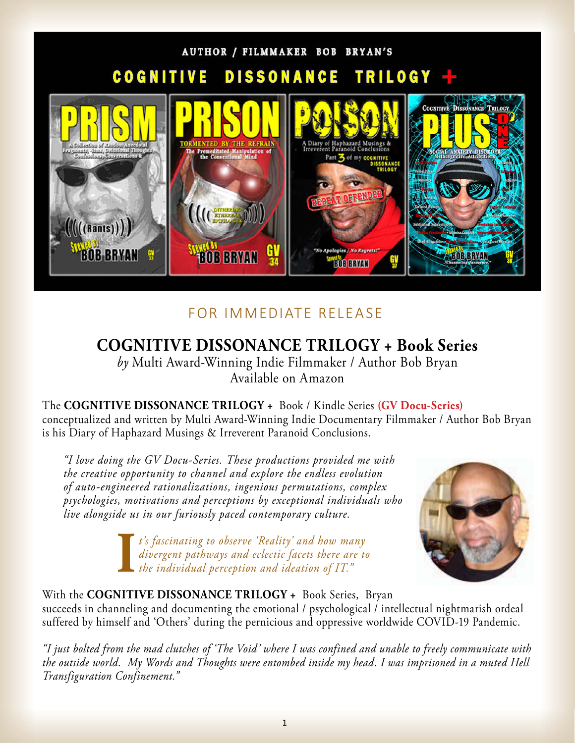

## FOR IMMEDIATE RELEASE

# **COGNITIVE DISSONANCE TRILOGY + Book Series**

*by* [Multi Award-Winning Indie Filmmaker / Author Bob Bryan](https://www.graffitiverite.com/BIO.htm)  Available on Amazon

The **COGNITIVE DISSONANCE TRILOGY +** Book / Kindle Series **(GV Docu-Series)** conceptualized and written by Multi Award-Winning Indie Documentary Filmmaker / Author Bob Bryan is his Diary of Haphazard Musings & Irreverent Paranoid Conclusions.

*"I love doing the GV Docu-Series. These productions provided me with the creative opportunity to channel and explore the endless evolution of auto-engineered rationalizations, ingenious permutations, complex psychologies, motivations and perceptions by exceptional individuals who live alongside us in our furiously paced contemporary culture.*

> **I** *t's fascinating to observe 'Reality' and how many divergent pathways and eclectic facets there are to the individual perception and ideation of IT."*



### With the **COGNITIVE DISSONANCE TRILOGY +** Book Series, Bryan succeeds in channeling and documenting the emotional / psychological / intellectual nightmarish ordeal suffered by himself and 'Others' during the pernicious and oppressive worldwide COVID-19 Pandemic.

*"I just bolted from the mad clutches of 'The Void' where I was confined and unable to freely communicate with the outside world. My Words and Thoughts were entombed inside my head. I was imprisoned in a muted Hell Transfiguration Confinement."*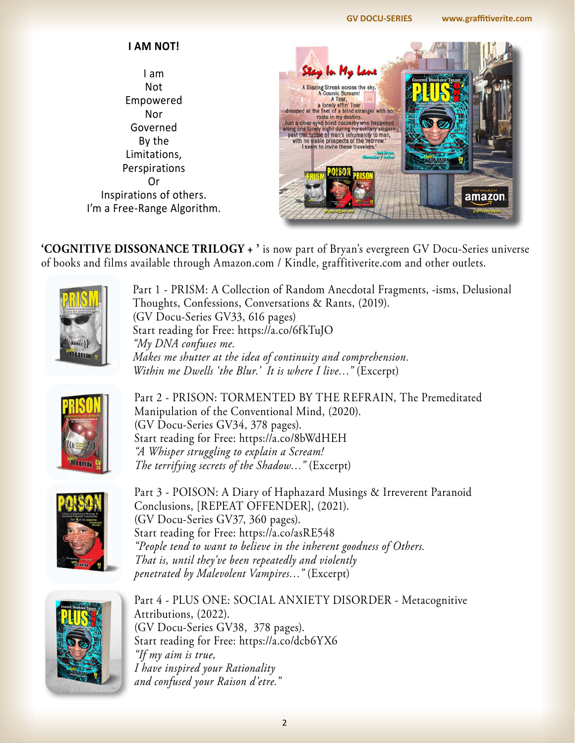#### **[GV DOCU-SERIES www.graffitiverite.com](http://www.graffitiverite.com)**

### **I AM NOT!**

I am Not Empowered Nor Governed By the Limitations, Perspirations Or Inspirations of others. I'm a Free-Range Algorithm.



**'COGNITIVE DISSONANCE TRILOGY + '** is now part of Bryan's evergreen GV Docu-Series universe of books and films available through Amazon.com / Kindle, graffitiverite.com and other outlets.



Part 1 - PRISM: A Collection of Random Anecdotal Fragments, -isms, Delusional Thoughts, Confessions, Conversations & Rants, (2019). [\(GV Docu-Series GV33](https://www.graffitiverite.com/PRISM.htm), 616 pages) Start reading for Free: <https://a.co/6fkTuJO> *"My DNA confuses me. Makes me shutter at the idea of continuity and comprehension. Within me Dwells 'the Blur.' It is where I live…"* (Excerpt)



Part 2 - PRISON: TORMENTED BY THE REFRAIN, The Premeditated Manipulation of the Conventional Mind, (2020). ([GV Docu-Series GV34](https://www.graffitiverite.com/PRISON.htm), 378 pages). Start reading for Free: <https://a.co/8bWdHEH> *"A Whisper struggling to explain a Scream! The terrifying secrets of the Shadow…"* (Excerpt)



Part 3 - POISON: A Diary of Haphazard Musings & Irreverent Paranoid Conclusions, [REPEAT OFFENDER], (2021). ([GV Docu-Series GV37,](https://www.graffitiverite.com/POISON.htm) 360 pages). Start reading for Free: <https://a.co/asRE548> *"People tend to want to believe in the inherent goodness of Others. That is, until they've been repeatedly and violently penetrated by Malevolent Vampires…"* (Excerpt)



Part 4 - PLUS ONE: SOCIAL ANXIETY DISORDER - Metacognitive Attributions, (2022). ([GV Docu-Series GV38](https://www.graffitiverite.com/PLUS-ONE.htm), 378 pages). Start reading for Free: <https://a.co/dcb6YX6> *"If my aim is true, I have inspired your Rationality and confused your Raison d'etre."*